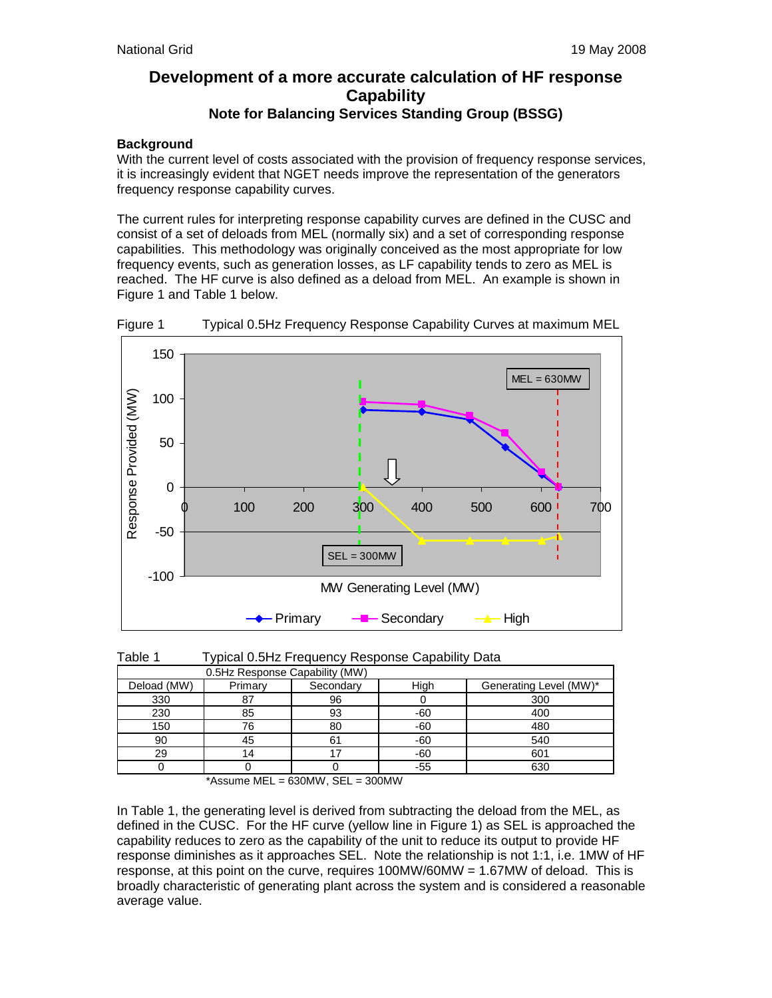# **Development of a more accurate calculation of HF response Capability Note for Balancing Services Standing Group (BSSG)**

# **Background**

With the current level of costs associated with the provision of frequency response services, it is increasingly evident that NGET needs improve the representation of the generators frequency response capability curves.

The current rules for interpreting response capability curves are defined in the CUSC and consist of a set of deloads from MEL (normally six) and a set of corresponding response capabilities. This methodology was originally conceived as the most appropriate for low frequency events, such as generation losses, as LF capability tends to zero as MEL is reached. The HF curve is also defined as a deload from MEL. An example is shown in Figure 1 and Table 1 below.



Figure 1 Typical 0.5Hz Frequency Response Capability Curves at maximum MEL

| Table 1 | Typical 0.5Hz Frequency Response Capability Data |  |
|---------|--------------------------------------------------|--|

| 0.5Hz Response Capability (MW) |         |           |       |                        |  |  |
|--------------------------------|---------|-----------|-------|------------------------|--|--|
| Deload (MW)                    | Primary | Secondary | High  | Generating Level (MW)* |  |  |
| 330                            |         | 96        |       | 300                    |  |  |
| 230                            | 85      | 93        | $-60$ | 400                    |  |  |
| 150                            | 76      | 80        | $-60$ | 480                    |  |  |
| 90                             |         | 61        | $-60$ | 540                    |  |  |
| 29                             |         |           | $-60$ | 601                    |  |  |
|                                |         |           | -55   | 630                    |  |  |

 $*$ Assume MEL = 630MW, SEL = 300MW

In Table 1, the generating level is derived from subtracting the deload from the MEL, as defined in the CUSC. For the HF curve (yellow line in Figure 1) as SEL is approached the capability reduces to zero as the capability of the unit to reduce its output to provide HF response diminishes as it approaches SEL. Note the relationship is not 1:1, i.e. 1MW of HF response, at this point on the curve, requires 100MW/60MW = 1.67MW of deload. This is broadly characteristic of generating plant across the system and is considered a reasonable average value.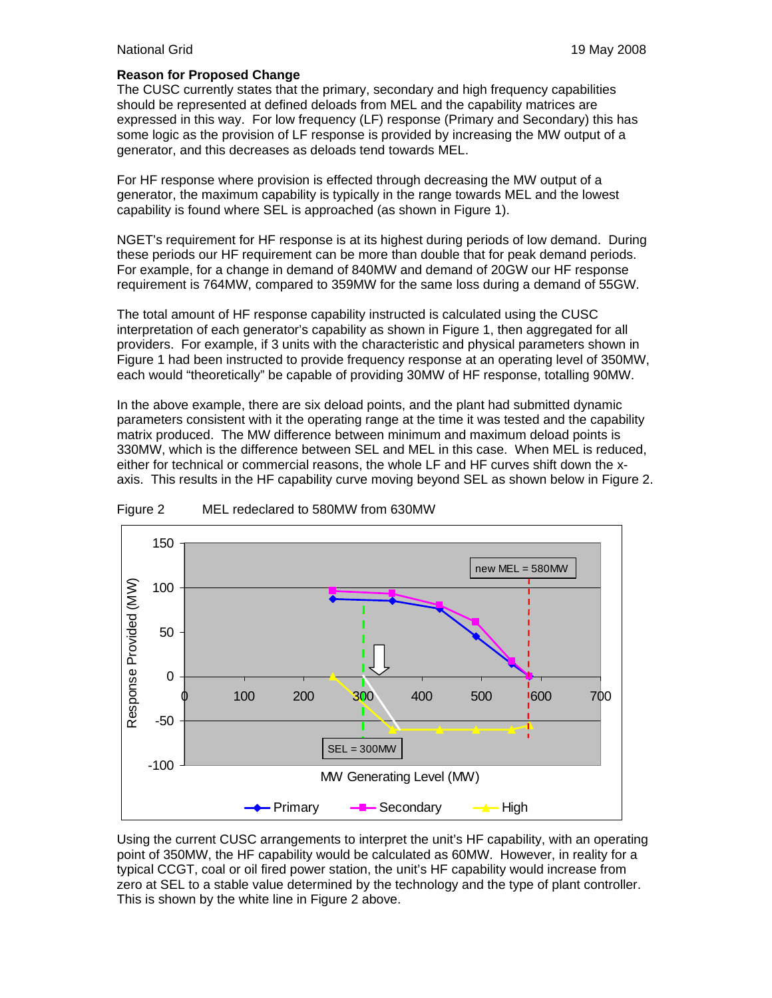#### **Reason for Proposed Change**

The CUSC currently states that the primary, secondary and high frequency capabilities should be represented at defined deloads from MEL and the capability matrices are expressed in this way. For low frequency (LF) response (Primary and Secondary) this has some logic as the provision of LF response is provided by increasing the MW output of a generator, and this decreases as deloads tend towards MEL.

For HF response where provision is effected through decreasing the MW output of a generator, the maximum capability is typically in the range towards MEL and the lowest capability is found where SEL is approached (as shown in Figure 1).

NGET's requirement for HF response is at its highest during periods of low demand. During these periods our HF requirement can be more than double that for peak demand periods. For example, for a change in demand of 840MW and demand of 20GW our HF response requirement is 764MW, compared to 359MW for the same loss during a demand of 55GW.

The total amount of HF response capability instructed is calculated using the CUSC interpretation of each generator's capability as shown in Figure 1, then aggregated for all providers. For example, if 3 units with the characteristic and physical parameters shown in Figure 1 had been instructed to provide frequency response at an operating level of 350MW, each would "theoretically" be capable of providing 30MW of HF response, totalling 90MW.

In the above example, there are six deload points, and the plant had submitted dynamic parameters consistent with it the operating range at the time it was tested and the capability matrix produced. The MW difference between minimum and maximum deload points is 330MW, which is the difference between SEL and MEL in this case. When MEL is reduced, either for technical or commercial reasons, the whole LF and HF curves shift down the xaxis. This results in the HF capability curve moving beyond SEL as shown below in Figure 2.



Figure 2 MEL redeclared to 580MW from 630MW

Using the current CUSC arrangements to interpret the unit's HF capability, with an operating point of 350MW, the HF capability would be calculated as 60MW. However, in reality for a typical CCGT, coal or oil fired power station, the unit's HF capability would increase from zero at SEL to a stable value determined by the technology and the type of plant controller. This is shown by the white line in Figure 2 above.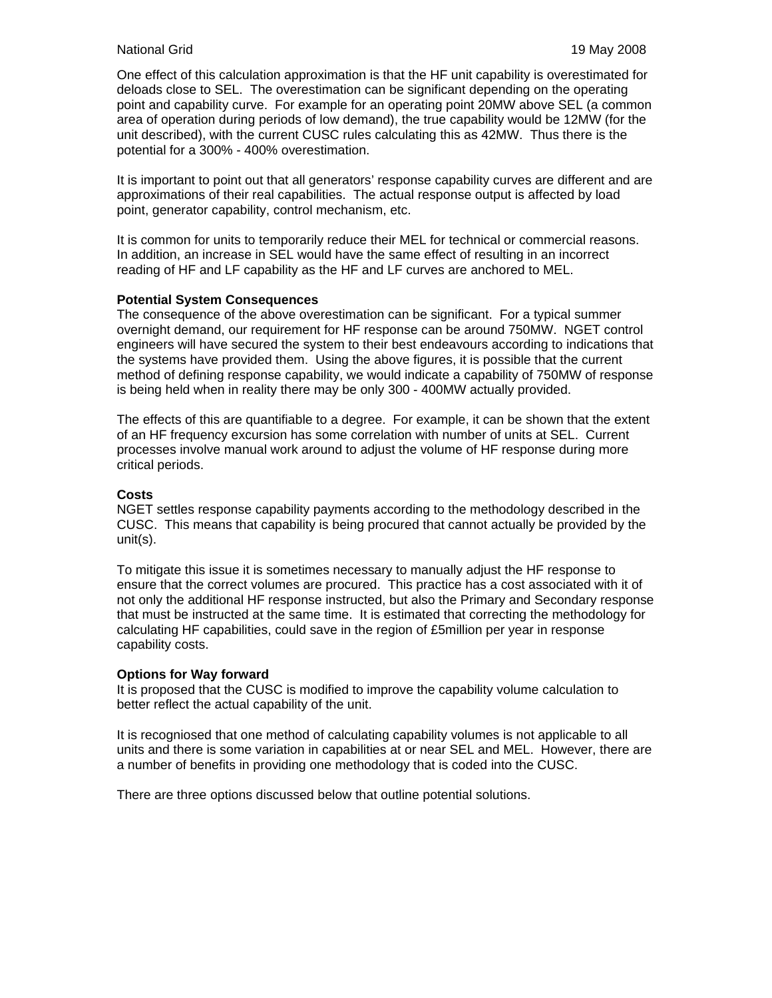### National Grid 19 May 2008

One effect of this calculation approximation is that the HF unit capability is overestimated for deloads close to SEL. The overestimation can be significant depending on the operating point and capability curve. For example for an operating point 20MW above SEL (a common area of operation during periods of low demand), the true capability would be 12MW (for the unit described), with the current CUSC rules calculating this as 42MW. Thus there is the potential for a 300% - 400% overestimation.

It is important to point out that all generators' response capability curves are different and are approximations of their real capabilities. The actual response output is affected by load point, generator capability, control mechanism, etc.

It is common for units to temporarily reduce their MEL for technical or commercial reasons. In addition, an increase in SEL would have the same effect of resulting in an incorrect reading of HF and LF capability as the HF and LF curves are anchored to MEL.

#### **Potential System Consequences**

The consequence of the above overestimation can be significant. For a typical summer overnight demand, our requirement for HF response can be around 750MW. NGET control engineers will have secured the system to their best endeavours according to indications that the systems have provided them. Using the above figures, it is possible that the current method of defining response capability, we would indicate a capability of 750MW of response is being held when in reality there may be only 300 - 400MW actually provided.

The effects of this are quantifiable to a degree. For example, it can be shown that the extent of an HF frequency excursion has some correlation with number of units at SEL. Current processes involve manual work around to adjust the volume of HF response during more critical periods.

# **Costs**

NGET settles response capability payments according to the methodology described in the CUSC. This means that capability is being procured that cannot actually be provided by the unit(s).

To mitigate this issue it is sometimes necessary to manually adjust the HF response to ensure that the correct volumes are procured. This practice has a cost associated with it of not only the additional HF response instructed, but also the Primary and Secondary response that must be instructed at the same time. It is estimated that correcting the methodology for calculating HF capabilities, could save in the region of £5million per year in response capability costs.

#### **Options for Way forward**

It is proposed that the CUSC is modified to improve the capability volume calculation to better reflect the actual capability of the unit.

It is recogniosed that one method of calculating capability volumes is not applicable to all units and there is some variation in capabilities at or near SEL and MEL. However, there are a number of benefits in providing one methodology that is coded into the CUSC.

There are three options discussed below that outline potential solutions.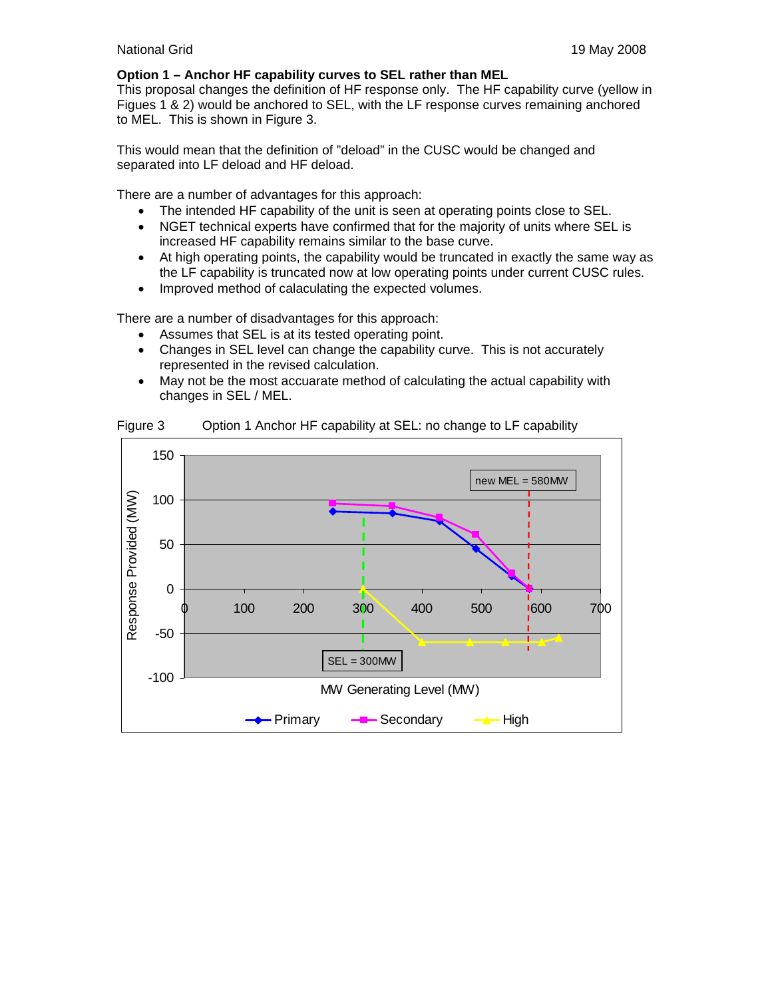## **Option 1 – Anchor HF capability curves to SEL rather than MEL**

This proposal changes the definition of HF response only. The HF capability curve (yellow in Figues 1 & 2) would be anchored to SEL, with the LF response curves remaining anchored to MEL. This is shown in Figure 3.

This would mean that the definition of "deload" in the CUSC would be changed and separated into LF deload and HF deload.

There are a number of advantages for this approach:

- The intended HF capability of the unit is seen at operating points close to SEL.
- NGET technical experts have confirmed that for the majority of units where SEL is increased HF capability remains similar to the base curve.
- At high operating points, the capability would be truncated in exactly the same way as the LF capability is truncated now at low operating points under current CUSC rules.
- Improved method of calaculating the expected volumes.

There are a number of disadvantages for this approach:

- Assumes that SEL is at its tested operating point.
- Changes in SEL level can change the capability curve. This is not accurately represented in the revised calculation.
- May not be the most accuarate method of calculating the actual capability with changes in SEL / MEL.



Figure 3 Option 1 Anchor HF capability at SEL: no change to LF capability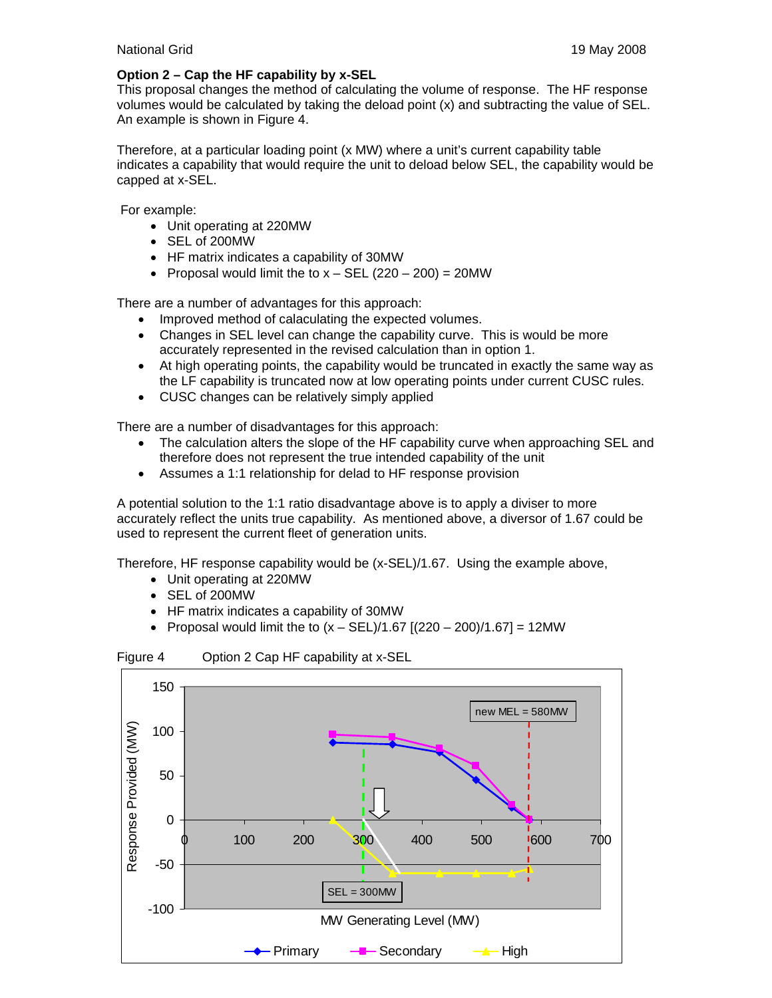# **Option 2 – Cap the HF capability by x-SEL**

This proposal changes the method of calculating the volume of response. The HF response volumes would be calculated by taking the deload point (x) and subtracting the value of SEL. An example is shown in Figure 4.

Therefore, at a particular loading point (x MW) where a unit's current capability table indicates a capability that would require the unit to deload below SEL, the capability would be capped at x-SEL.

For example:

- Unit operating at 220MW
- SEL of 200MW
- HF matrix indicates a capability of 30MW
- Proposal would limit the to  $x SEL$  (220 200) = 20MW

There are a number of advantages for this approach:

- Improved method of calaculating the expected volumes.
- Changes in SEL level can change the capability curve. This is would be more accurately represented in the revised calculation than in option 1.
- At high operating points, the capability would be truncated in exactly the same way as the LF capability is truncated now at low operating points under current CUSC rules.
- CUSC changes can be relatively simply applied

There are a number of disadvantages for this approach:

- The calculation alters the slope of the HF capability curve when approaching SEL and therefore does not represent the true intended capability of the unit
- Assumes a 1:1 relationship for delad to HF response provision

A potential solution to the 1:1 ratio disadvantage above is to apply a diviser to more accurately reflect the units true capability. As mentioned above, a diversor of 1.67 could be used to represent the current fleet of generation units.

Therefore, HF response capability would be (x-SEL)/1.67. Using the example above,

- Unit operating at 220MW
- SEL of 200MW
- HF matrix indicates a capability of 30MW
- Proposal would limit the to  $(x SEL)/1.67$   $[(220 200)/1.67] = 12MW$



Figure 4 Option 2 Cap HF capability at x-SEL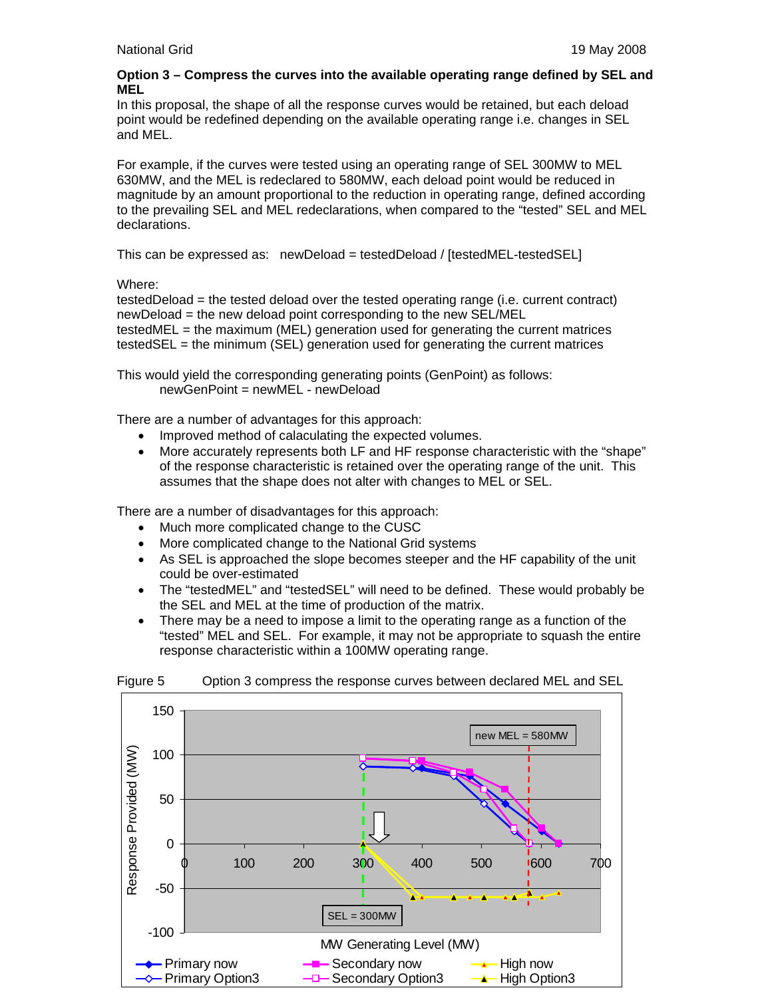# **Option 3 – Compress the curves into the available operating range defined by SEL and MEL**

In this proposal, the shape of all the response curves would be retained, but each deload point would be redefined depending on the available operating range i.e. changes in SEL and MEL.

For example, if the curves were tested using an operating range of SEL 300MW to MEL 630MW, and the MEL is redeclared to 580MW, each deload point would be reduced in magnitude by an amount proportional to the reduction in operating range, defined according to the prevailing SEL and MEL redeclarations, when compared to the "tested" SEL and MEL declarations.

This can be expressed as: newDeload = testedDeload / [testedMEL-testedSEL]

Where:

testedDeload = the tested deload over the tested operating range (i.e. current contract) newDeload = the new deload point corresponding to the new SEL/MEL testedMEL = the maximum (MEL) generation used for generating the current matrices testedSEL = the minimum (SEL) generation used for generating the current matrices

This would yield the corresponding generating points (GenPoint) as follows: newGenPoint = newMEL - newDeload

There are a number of advantages for this approach:

- Improved method of calaculating the expected volumes.
- More accurately represents both LF and HF response characteristic with the "shape" of the response characteristic is retained over the operating range of the unit. This assumes that the shape does not alter with changes to MEL or SEL.

There are a number of disadvantages for this approach:

- Much more complicated change to the CUSC
- More complicated change to the National Grid systems
- As SEL is approached the slope becomes steeper and the HF capability of the unit could be over-estimated
- The "testedMEL" and "testedSEL" will need to be defined. These would probably be the SEL and MEL at the time of production of the matrix.
- There may be a need to impose a limit to the operating range as a function of the "tested" MEL and SEL. For example, it may not be appropriate to squash the entire response characteristic within a 100MW operating range.



Figure 5 Option 3 compress the response curves between declared MEL and SEL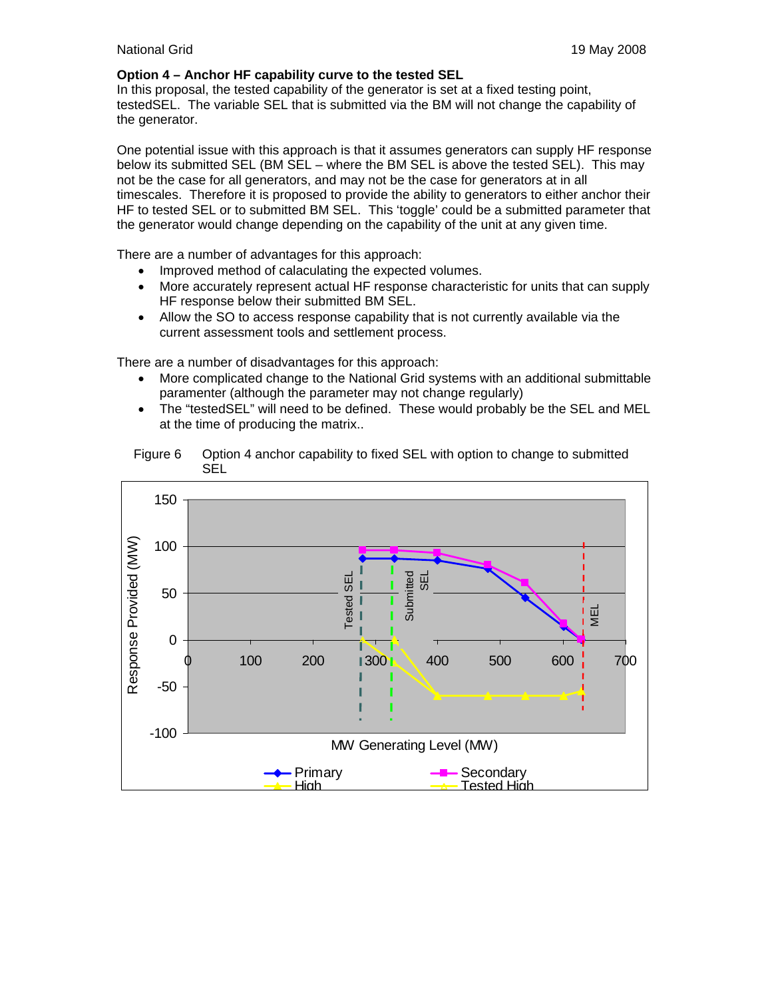# **Option 4 – Anchor HF capability curve to the tested SEL**

In this proposal, the tested capability of the generator is set at a fixed testing point, testedSEL. The variable SEL that is submitted via the BM will not change the capability of the generator.

One potential issue with this approach is that it assumes generators can supply HF response below its submitted SEL (BM SEL – where the BM SEL is above the tested SEL). This may not be the case for all generators, and may not be the case for generators at in all timescales. Therefore it is proposed to provide the ability to generators to either anchor their HF to tested SEL or to submitted BM SEL. This 'toggle' could be a submitted parameter that the generator would change depending on the capability of the unit at any given time.

There are a number of advantages for this approach:

- Improved method of calaculating the expected volumes.
- More accurately represent actual HF response characteristic for units that can supply HF response below their submitted BM SEL.
- Allow the SO to access response capability that is not currently available via the current assessment tools and settlement process.

There are a number of disadvantages for this approach:

- More complicated change to the National Grid systems with an additional submittable paramenter (although the parameter may not change regularly)
- The "testedSEL" will need to be defined. These would probably be the SEL and MEL at the time of producing the matrix..